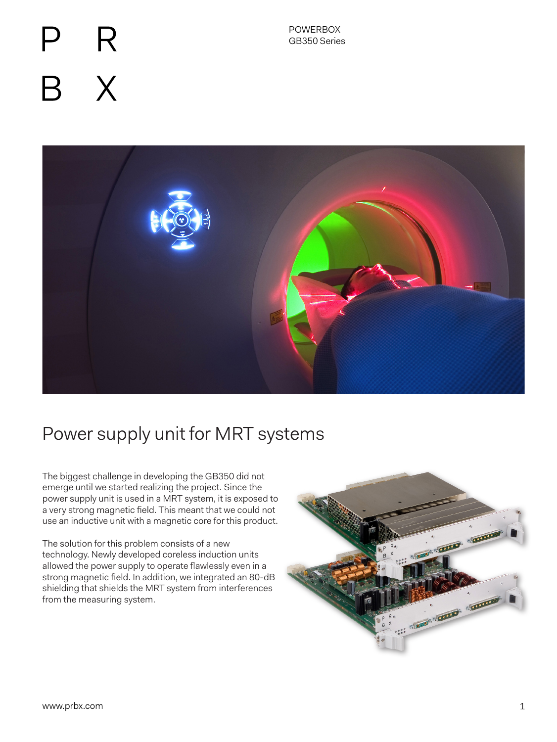# R  $\mathsf{X}$



# Power supply unit for MRT systems

The biggest challenge in developing the GB350 did not emerge until we started realizing the project. Since the power supply unit is used in a MRT system, it is exposed to a very strong magnetic field. This meant that we could not use an inductive unit with a magnetic core for this product.

The solution for this problem consists of a new technology. Newly developed coreless induction units allowed the power supply to operate flawlessly even in a strong magnetic field. In addition, we integrated an 80-dB shielding that shields the MRT system from interferences from the measuring system.